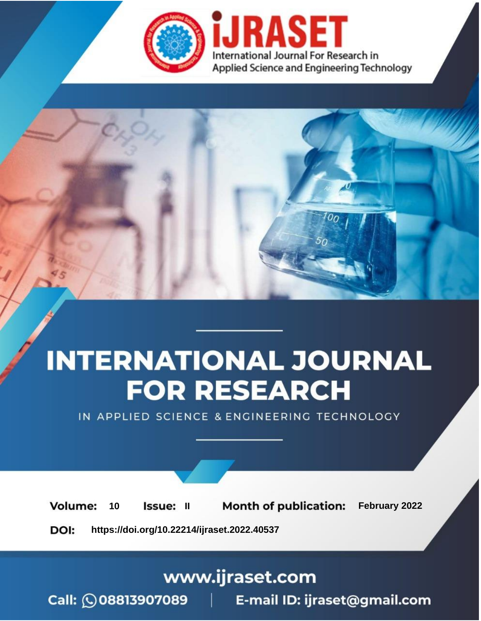

# **INTERNATIONAL JOURNAL FOR RESEARCH**

IN APPLIED SCIENCE & ENGINEERING TECHNOLOGY

**Month of publication:** February 2022 **Volume:** 10 **Issue: II** DOI: https://doi.org/10.22214/ijraset.2022.40537

www.ijraset.com

 $Call: \bigcirc$ 08813907089 E-mail ID: ijraset@gmail.com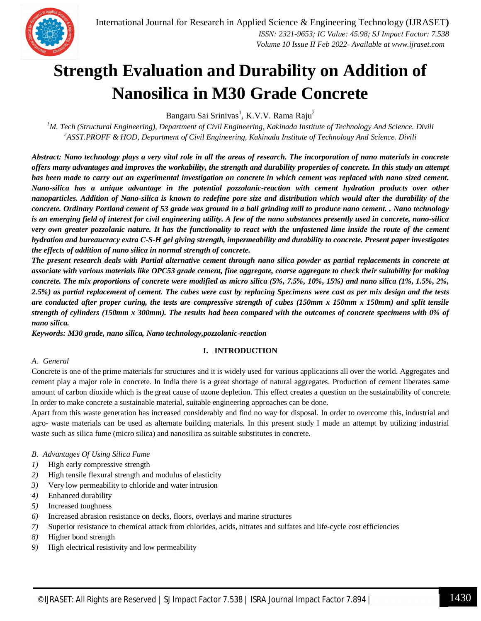

### **Strength Evaluation and Durability on Addition of Nanosilica in M30 Grade Concrete**

Bangaru Sai Srinivas<sup>1</sup>, K.V.V. Rama Raju<sup>2</sup>

*<sup>1</sup>M. Tech (Structural Engineering), Department of Civil Engineering, Kakinada Institute of Technology And Science. Divili <sup>2</sup>ASST.PROFF & HOD, Department of Civil Engineering, Kakinada Institute of Technology And Science. Divili*

*Abstract: Nano technology plays a very vital role in all the areas of research. The incorporation of nano materials in concrete offers many advantages and improves the workability, the strength and durability properties of concrete. In this study an attempt has been made to carry out an experimental investigation on concrete in which cement was replaced with nano sized cement. Nano-silica has a unique advantage in the potential pozzolanic-reaction with cement hydration products over other nanoparticles. Addition of Nano-silica is known to redefine pore size and distribution which would alter the durability of the concrete. Ordinary Portland cement of 53 grade was ground in a ball grinding mill to produce nano cement. . Nano technology is an emerging field of interest for civil engineering utility. A few of the nano substances presently used in concrete, nano-silica very own greater pozzolanic nature. It has the functionality to react with the unfastened lime inside the route of the cement hydration and bureaucracy extra C-S-H gel giving strength, impermeability and durability to concrete. Present paper investigates the effects of addition of nano silica in normal strength of concrete.*

*The present research deals with Partial alternative cement through nano silica powder as partial replacements in concrete at associate with various materials like OPC53 grade cement, fine aggregate, coarse aggregate to check their suitability for making concrete. The mix proportions of concrete were modified as micro silica (5%, 7.5%, 10%, 15%) and nano silica (1%, 1.5%, 2%, 2.5%) as partial replacement of cement. The cubes were cast by replacing Specimens were cast as per mix design and the tests are conducted after proper curing, the tests are compressive strength of cubes (150mm x 150mm x 150mm) and split tensile strength of cylinders (150mm x 300mm). The results had been compared with the outcomes of concrete specimens with 0% of nano silica.*

*Keywords: M30 grade, nano silica, Nano technology,pozzolanic-reaction*

#### **I. INTRODUCTION**

#### *A. General*

Concrete is one of the prime materials for structures and it is widely used for various applications all over the world. Aggregates and cement play a major role in concrete. In India there is a great shortage of natural aggregates. Production of cement liberates same amount of carbon dioxide which is the great cause of ozone depletion. This effect creates a question on the sustainability of concrete. In order to make concrete a sustainable material, suitable engineering approaches can be done.

Apart from this waste generation has increased considerably and find no way for disposal. In order to overcome this, industrial and agro- waste materials can be used as alternate building materials. In this present study I made an attempt by utilizing industrial waste such as silica fume (micro silica) and nanosilica as suitable substitutes in concrete.

#### *B. Advantages Of Using Silica Fume*

- *1)* High early compressive strength
- *2)* High tensile flexural strength and modulus of elasticity
- *3)* Very low permeability to chloride and water intrusion
- *4)* Enhanced durability
- *5)* Increased toughness
- *6)* Increased abrasion resistance on decks, floors, overlays and marine structures
- *7)* Superior resistance to chemical attack from chlorides, acids, nitrates and sulfates and life-cycle cost efficiencies
- *8)* Higher bond strength
- *9)* High electrical resistivity and low permeability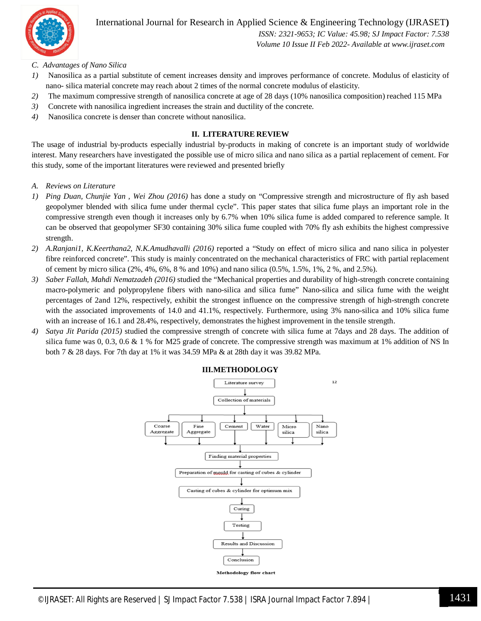

International Journal for Research in Applied Science & Engineering Technology (IJRASET**)**  *ISSN: 2321-9653; IC Value: 45.98; SJ Impact Factor: 7.538*

 *Volume 10 Issue II Feb 2022- Available at www.ijraset.com*

#### *C. Advantages of Nano Silica*

- *1)* Nanosilica as a partial substitute of cement increases density and improves performance of concrete. Modulus of elasticity of nano- silica material concrete may reach about 2 times of the normal concrete modulus of elasticity.
- *2)* The maximum compressive strength of nanosilica concrete at age of 28 days (10% nanosilica composition) reached 115 MPa
- *3)* Concrete with nanosilica ingredient increases the strain and ductility of the concrete.
- *4)* Nanosilica concrete is denser than concrete without nanosilica.

#### **II. LITERATURE REVIEW**

The usage of industrial by-products especially industrial by-products in making of concrete is an important study of worldwide interest. Many researchers have investigated the possible use of micro silica and nano silica as a partial replacement of cement. For this study, some of the important literatures were reviewed and presented briefly

- *A. Reviews on Literature*
- *1) Ping Duan, Chunjie Yan , Wei Zhou (2016)* has done a study on "Compressive strength and microstructure of fly ash based geopolymer blended with silica fume under thermal cycle". This paper states that silica fume plays an important role in the compressive strength even though it increases only by 6.7% when 10% silica fume is added compared to reference sample. It can be observed that geopolymer SF30 containing 30% silica fume coupled with 70% fly ash exhibits the highest compressive strength.
- *2) A.Ranjani1, K.Keerthana2, N.K.Amudhavalli (2016)* reported a "Study on effect of micro silica and nano silica in polyester fibre reinforced concrete". This study is mainly concentrated on the mechanical characteristics of FRC with partial replacement of cement by micro silica (2%, 4%, 6%, 8 % and 10%) and nano silica (0.5%, 1.5%, 1%, 2 %, and 2.5%).
- *3) Saber Fallah, Mahdi Nematzadeh (2016)* studied the "Mechanical properties and durability of high-strength concrete containing macro-polymeric and polypropylene fibers with nano-silica and silica fume" Nano-silica and silica fume with the weight percentages of 2and 12%, respectively, exhibit the strongest influence on the compressive strength of high-strength concrete with the associated improvements of 14.0 and 41.1%, respectively. Furthermore, using 3% nano-silica and 10% silica fume with an increase of 16.1 and 28.4%, respectively, demonstrates the highest improvement in the tensile strength.
- *4) Satya Jit Parida (2015)* studied the compressive strength of concrete with silica fume at 7days and 28 days. The addition of silica fume was  $0, 0.3, 0.6 \& 1\%$  for M25 grade of concrete. The compressive strength was maximum at 1% addition of NS In both 7 & 28 days. For 7th day at 1% it was 34.59 MPa & at 28th day it was 39.82 MPa.



**III.METHODOLOGY**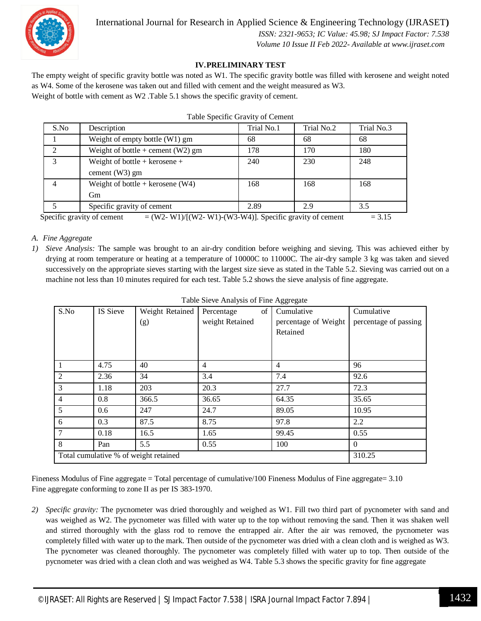

#### **IV.PRELIMINARY TEST**

The empty weight of specific gravity bottle was noted as W1. The specific gravity bottle was filled with kerosene and weight noted as W4. Some of the kerosene was taken out and filled with cement and the weight measured as W3. Weight of bottle with cement as W2 .Table 5.1 shows the specific gravity of cement.

| S.No | Description                         | Trial No.1 | Trial No.2 | Trial No.3 |
|------|-------------------------------------|------------|------------|------------|
|      | Weight of empty bottle (W1) gm      | 68         | 68         | 68         |
|      | Weight of bottle + cement $(W2)$ gm | 178        | 170        | 180        |
| 3    | Weight of bottle + kerosene +       | 240        | 230        | 248        |
|      | cement $(W3)$ gm                    |            |            |            |
|      | Weight of bottle + kerosene $(W4)$  | 168        | 168        | 168        |
|      | Gm                                  |            |            |            |
|      | Specific gravity of cement          | 2.89       | 2.9        | 3.5        |

Specific gravity of cement  $= (W2-W1)/[(W2-W1)-(W3-W4)]$ . Specific gravity of cement  $= 3.15$ 

#### *A. Fine Aggregate*

*1) Sieve Analysis:* The sample was brought to an air-dry condition before weighing and sieving. This was achieved either by drying at room temperature or heating at a temperature of 10000C to 11000C. The air-dry sample 3 kg was taken and sieved successively on the appropriate sieves starting with the largest size sieve as stated in the Table 5.2. Sieving was carried out on a machine not less than 10 minutes required for each test. Table 5.2 shows the sieve analysis of fine aggregate.

| S.No                                  | IS Sieve | Weight Retained | of<br>Percentage | Cumulative           | Cumulative            |
|---------------------------------------|----------|-----------------|------------------|----------------------|-----------------------|
|                                       |          | (g)             | weight Retained  | percentage of Weight | percentage of passing |
|                                       |          |                 |                  | Retained             |                       |
|                                       |          |                 |                  |                      |                       |
|                                       |          |                 |                  |                      |                       |
| $\overline{1}$                        | 4.75     | 40              | 4                | $\overline{4}$       | 96                    |
| 2                                     | 2.36     | 34              | 3.4              | 7.4                  | 92.6                  |
| $\overline{3}$                        | 1.18     | 203             | 20.3             | 27.7                 | 72.3                  |
| $\overline{4}$                        | 0.8      | 366.5           | 36.65            | 64.35                | 35.65                 |
| 5 <sup>5</sup>                        | 0.6      | 247             | 24.7             | 89.05                | 10.95                 |
| 6                                     | 0.3      | 87.5            | 8.75             | 97.8                 | 2.2                   |
| $\overline{7}$                        | 0.18     | 16.5            | 1.65             | 99.45                | 0.55                  |
| 8                                     | Pan      | 5.5             | 0.55             | 100                  | $\Omega$              |
| Total cumulative % of weight retained | 310.25   |                 |                  |                      |                       |

Fineness Modulus of Fine aggregate = Total percentage of cumulative/100 Fineness Modulus of Fine aggregate= 3.10 Fine aggregate conforming to zone II as per IS 383-1970.

*2) Specific gravity:* The pycnometer was dried thoroughly and weighed as W1. Fill two third part of pycnometer with sand and was weighed as W2. The pycnometer was filled with water up to the top without removing the sand. Then it was shaken well and stirred thoroughly with the glass rod to remove the entrapped air. After the air was removed, the pycnometer was completely filled with water up to the mark. Then outside of the pycnometer was dried with a clean cloth and is weighed as W3. The pycnometer was cleaned thoroughly. The pycnometer was completely filled with water up to top. Then outside of the pycnometer was dried with a clean cloth and was weighed as W4. Table 5.3 shows the specific gravity for fine aggregate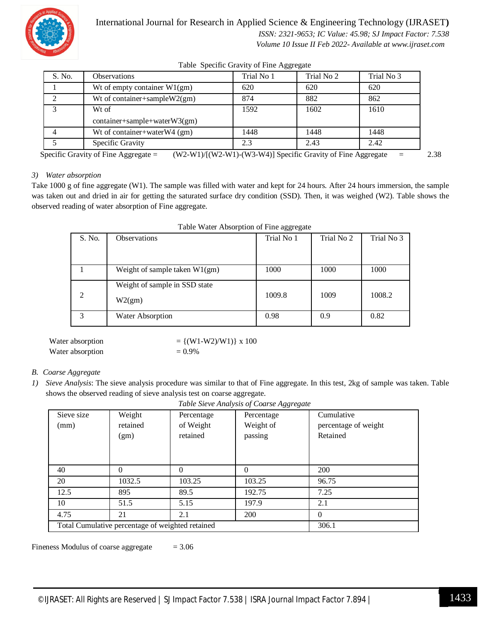

#### International Journal for Research in Applied Science & Engineering Technology (IJRASET**)**

 *ISSN: 2321-9653; IC Value: 45.98; SJ Impact Factor: 7.538 Volume 10 Issue II Feb 2022- Available at www.ijraset.com*

Table Specific Gravity of Fine Aggregate

| S. No. | Observations                    | Trial No 1 | Trial No 2 | Trial No 3 |
|--------|---------------------------------|------------|------------|------------|
|        | Wt of empty container $W1(gm)$  | 620        | 620        | 620        |
|        | Wt of container+sample $W2(gm)$ | 874        | 882        | 862        |
|        | Wt of                           | 1592       | 1602       | 1610       |
|        | $container+sample+waterW3(gm)$  |            |            |            |
|        | Wt of container+waterW4 (gm)    | 1448       | 1448       | 1448       |
|        | Specific Gravity                | 2.3        | 2.43       | 2.42       |

Specific Gravity of Fine Aggregate =  $(W2-W1)/[(W2-W1)-(W3-W4)]$  Specific Gravity of Fine Aggregate = 2.38

#### *3) Water absorption*

Take 1000 g of fine aggregate (W1). The sample was filled with water and kept for 24 hours. After 24 hours immersion, the sample was taken out and dried in air for getting the saturated surface dry condition (SSD). Then, it was weighed (W2). Table shows the observed reading of water absorption of Fine aggregate.

|                | where we are reported to the appropriate |            |            |            |
|----------------|------------------------------------------|------------|------------|------------|
| S. No.         | <b>Observations</b>                      | Trial No 1 | Trial No 2 | Trial No 3 |
|                |                                          |            |            |            |
|                | Weight of sample taken $W1(gm)$          | 1000       | 1000       | 1000       |
|                | Weight of sample in SSD state            |            |            |            |
| $\overline{2}$ | W2(gm)                                   | 1009.8     | 1009       | 1008.2     |
| 3              | Water Absorption                         | 0.98       | 0.9        | 0.82       |

| Table Water Absorption of Fine aggregate |  |  |  |  |  |
|------------------------------------------|--|--|--|--|--|
|------------------------------------------|--|--|--|--|--|

| Water absorption | $= \{ (W1-W2)/W1) \} \times 100$ |
|------------------|----------------------------------|
| Water absorption | $= 0.9\%$                        |

#### *B. Coarse Aggregate*

*1) Sieve Analysis*: The sieve analysis procedure was similar to that of Fine aggregate. In this test, 2kg of sample was taken. Table shows the observed reading of sieve analysis test on coarse aggregate.

|            | Tuble Sieve Thin yous of Course H&&I extile      |            |            |                      |  |  |  |
|------------|--------------------------------------------------|------------|------------|----------------------|--|--|--|
| Sieve size | Weight                                           | Percentage | Percentage | Cumulative           |  |  |  |
| (mm)       | retained                                         | of Weight  | Weight of  | percentage of weight |  |  |  |
|            | (gm)                                             | retained   | passing    | Retained             |  |  |  |
|            |                                                  |            |            |                      |  |  |  |
|            |                                                  |            |            |                      |  |  |  |
|            |                                                  |            |            |                      |  |  |  |
| 40         | $^{(1)}$                                         | 0          | $\Omega$   | 200                  |  |  |  |
| 20         | 1032.5                                           | 103.25     | 103.25     | 96.75                |  |  |  |
| 12.5       | 895                                              | 89.5       | 192.75     | 7.25                 |  |  |  |
| 10         | 51.5                                             | 5.15       | 197.9      | 2.1                  |  |  |  |
| 4.75       | 21                                               | 2.1        | 200        | $\theta$             |  |  |  |
|            | Total Cumulative percentage of weighted retained |            |            | 306.1                |  |  |  |

*Table Sieve Analysis of Coarse Aggregate*

Fineness Modulus of coarse aggregate  $= 3.06$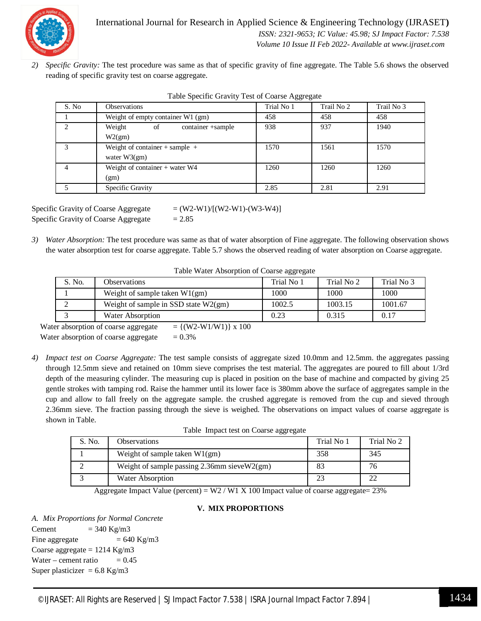

*2) Specific Gravity:* The test procedure was same as that of specific gravity of fine aggregate. The Table 5.6 shows the observed reading of specific gravity test on coarse aggregate.

| S. No | <b>Observations</b>                | Trial No 1 | Trail No 2 | Trail No 3 |
|-------|------------------------------------|------------|------------|------------|
|       | Weight of empty container W1 (gm)  | 458        | 458        | 458        |
| ◠     | Weight<br>container +sample<br>of  | 938        | 937        | 1940       |
|       | W2(gm)                             |            |            |            |
|       | Weight of container $+$ sample $+$ | 1570       | 1561       | 1570       |
|       | water $W3(gm)$                     |            |            |            |
|       | Weight of container + water W4     | 1260       | 1260       | 1260       |
|       | (gm)                               |            |            |            |
|       | Specific Gravity                   | 2.85       | 2.81       | 2.91       |

|  |  | Table Specific Gravity Test of Coarse Aggregate |
|--|--|-------------------------------------------------|
|  |  |                                                 |

Specific Gravity of Coarse Aggregate  $= (W2-W1)/[(W2-W1)-(W3-W4)]$ Specific Gravity of Coarse Aggregate  $= 2.85$ 

*3) Water Absorption:* The test procedure was same as that of water absorption of Fine aggregate. The following observation shows the water absorption test for coarse aggregate. Table 5.7 shows the observed reading of water absorption on Coarse aggregate.

Table Water Absorption of Coarse aggregate

| S. No. | <b>Observations</b>                    | Trial No 1 | Trial No 2 | Trial No 3 |
|--------|----------------------------------------|------------|------------|------------|
|        | Weight of sample taken $W1(gm)$        | 1000       | 1000       | 1000       |
|        | Weight of sample in SSD state $W2(gm)$ | 1002.5     | 1003.15    | 1001.67    |
|        | Water Absorption                       | 0.23       | 0.315      | 0.17       |

Water absorption of coarse aggregate  $= \{ (W2-W1/W1) \} \times 100$ Water absorption of coarse aggregate  $= 0.3\%$ 

*4) Impact test on Coarse Aggregate:* The test sample consists of aggregate sized 10.0mm and 12.5mm. the aggregates passing through 12.5mm sieve and retained on 10mm sieve comprises the test material. The aggregates are poured to fill about 1/3rd depth of the measuring cylinder. The measuring cup is placed in position on the base of machine and compacted by giving 25 gentle strokes with tamping rod. Raise the hammer until its lower face is 380mm above the surface of aggregates sample in the cup and allow to fall freely on the aggregate sample. the crushed aggregate is removed from the cup and sieved through 2.36mm sieve. The fraction passing through the sieve is weighed. The observations on impact values of coarse aggregate is shown in Table.

Table Impact test on Coarse aggregate

| S. No. | <b>Observations</b>                               | Trial No 1 | Trial No 2 |
|--------|---------------------------------------------------|------------|------------|
|        | Weight of sample taken $W1(gm)$                   | 358        | 345        |
|        | Weight of sample passing $2.36$ mm sieve $W2(gm)$ | 83         | 76         |
|        | Water Absorption                                  |            |            |

Aggregate Impact Value (percent) = W2 / W1 X 100 Impact value of coarse aggregate=  $23\%$ 

#### **V. MIX PROPORTIONS**

*A. Mix Proportions for Normal Concrete* Cement  $= 340 \text{ Kg/m3}$ Fine aggregate  $= 640 \text{ Kg/m3}$ Coarse aggregate  $= 1214$  Kg/m3 Water – cement ratio  $= 0.45$ Super plasticizer =  $6.8$  Kg/m3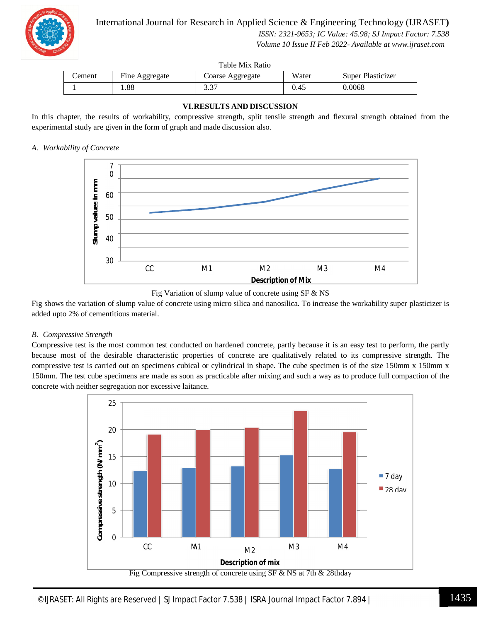

 *ISSN: 2321-9653; IC Value: 45.98; SJ Impact Factor: 7.538 Volume 10 Issue II Feb 2022- Available at www.ijraset.com*

Table Mix Ratio

| Cement | Fine Aggregate | Coarse Aggregate       | Water | Super Plasticizer |
|--------|----------------|------------------------|-------|-------------------|
|        | .88            | $\sim$ $\sim$<br>، ب ب | 0.45  | 0.0068            |

#### **VI.RESULTS AND DISCUSSION**

In this chapter, the results of workability, compressive strength, split tensile strength and flexural strength obtained from the experimental study are given in the form of graph and made discussion also.

#### *A. Workability of Concrete*





Fig shows the variation of slump value of concrete using micro silica and nanosilica. To increase the workability super plasticizer is added upto 2% of cementitious material.

#### *B. Compressive Strength*

Compressive test is the most common test conducted on hardened concrete, partly because it is an easy test to perform, the partly because most of the desirable characteristic properties of concrete are qualitatively related to its compressive strength. The compressive test is carried out on specimens cubical or cylindrical in shape. The cube specimen is of the size 150mm x 150mm x 150mm. The test cube specimens are made as soon as practicable after mixing and such a way as to produce full compaction of the concrete with neither segregation nor excessive laitance.

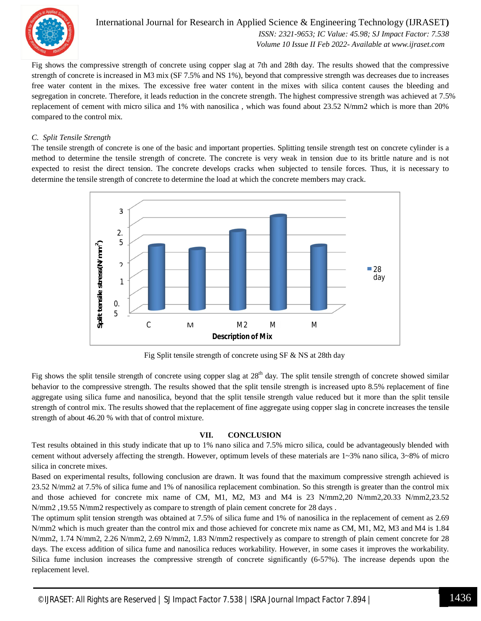

#### International Journal for Research in Applied Science & Engineering Technology (IJRASET**)**  *ISSN: 2321-9653; IC Value: 45.98; SJ Impact Factor: 7.538 Volume 10 Issue II Feb 2022- Available at www.ijraset.com*

Fig shows the compressive strength of concrete using copper slag at 7th and 28th day. The results showed that the compressive strength of concrete is increased in M3 mix (SF 7.5% and NS 1%), beyond that compressive strength was decreases due to increases free water content in the mixes. The excessive free water content in the mixes with silica content causes the bleeding and segregation in concrete. Therefore, it leads reduction in the concrete strength. The highest compressive strength was achieved at 7.5% replacement of cement with micro silica and 1% with nanosilica , which was found about 23.52 N/mm2 which is more than 20% compared to the control mix.

#### *C. Split Tensile Strength*

The tensile strength of concrete is one of the basic and important properties. Splitting tensile strength test on concrete cylinder is a method to determine the tensile strength of concrete. The concrete is very weak in tension due to its brittle nature and is not expected to resist the direct tension. The concrete develops cracks when subjected to tensile forces. Thus, it is necessary to determine the tensile strength of concrete to determine the load at which the concrete members may crack.



Fig Split tensile strength of concrete using SF & NS at 28th day

Fig shows the split tensile strength of concrete using copper slag at  $28<sup>th</sup>$  day. The split tensile strength of concrete showed similar behavior to the compressive strength. The results showed that the split tensile strength is increased upto 8.5% replacement of fine aggregate using silica fume and nanosilica, beyond that the split tensile strength value reduced but it more than the split tensile strength of control mix. The results showed that the replacement of fine aggregate using copper slag in concrete increases the tensile strength of about 46.20 % with that of control mixture.

#### **VII. CONCLUSION**

Test results obtained in this study indicate that up to 1% nano silica and 7.5% micro silica, could be advantageously blended with cement without adversely affecting the strength. However, optimum levels of these materials are  $1 \sim 3\%$  nano silica,  $3 \sim 8\%$  of micro silica in concrete mixes.

Based on experimental results, following conclusion are drawn. It was found that the maximum compressive strength achieved is 23.52 N/mm2 at 7.5% of silica fume and 1% of nanosilica replacement combination. So this strength is greater than the control mix and those achieved for concrete mix name of CM, M1, M2, M3 and M4 is 23 N/mm2,20 N/mm2,20.33 N/mm2,23.52 N/mm2, 19.55 N/mm2 respectively as compare to strength of plain cement concrete for 28 days.

The optimum split tension strength was obtained at 7.5% of silica fume and 1% of nanosilica in the replacement of cement as 2.69 N/mm2 which is much greater than the control mix and those achieved for concrete mix name as CM, M1, M2, M3 and M4 is 1.84 N/mm2, 1.74 N/mm2, 2.26 N/mm2, 2.69 N/mm2, 1.83 N/mm2 respectively as compare to strength of plain cement concrete for 28 days. The excess addition of silica fume and nanosilica reduces workability. However, in some cases it improves the workability. Silica fume inclusion increases the compressive strength of concrete significantly (6-57%). The increase depends upon the replacement level.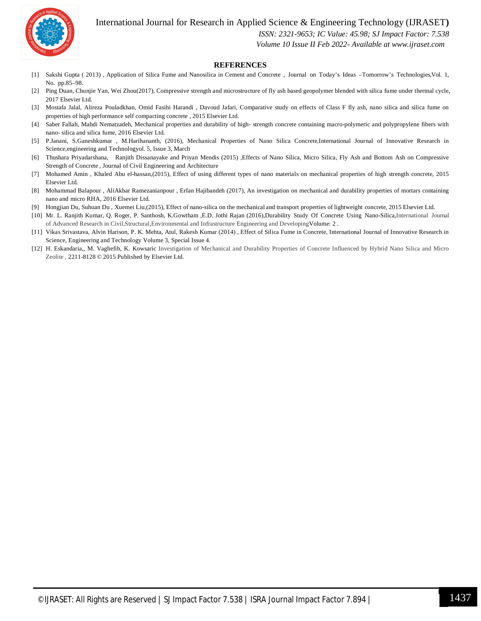

International Journal for Research in Applied Science & Engineering Technology (IJRASET**)**

 *ISSN: 2321-9653; IC Value: 45.98; SJ Impact Factor: 7.538*

 *Volume 10 Issue II Feb 2022- Available at www.ijraset.com*

#### **REFERENCES**

- [1] Sakshi Gupta ( 2013) , Application of Silica Fume and Nanosilica in Cement and Concrete , Journal on Today's Ideas –Tomorrow's Technologies,Vol. 1, No. pp.85–98.
- [2] Ping Duan, Chunjie Yan, Wei Zhou(2017), Compressive strength and microstructure of fly ash based geopolymer blended with silica fume under thermal cycle, 2017 Elsevier Ltd.
- [3] Mostafa Jalal, Alireza Pouladkhan, Omid Fasihi Harandi , Davoud Jafari, Comparative study on effects of Class F fly ash, nano silica and silica fume on properties of high performance self compacting concrete , 2015 Elsevier Ltd.
- [4] Saber Fallah, Mahdi Nematzadeh, Mechanical properties and durability of high- strength concrete containing macro-polymeric and polypropylene fibers with nano- silica and silica fume, 2016 Elsevier Ltd.
- [5] P.Janani, S.Ganeshkumar , M.Harihananth, (2016), Mechanical Properties of Nano Silica Concrete,International Journal of Innovative Research in Science,engineering and Technologyol. 5, Issue 3, March
- [6] Thushara Priyadarshana, Ranjith Dissanayake and Priyan Mendis (2015) ,Effects of Nano Silica, Micro Silica, Fly Ash and Bottom Ash on Compressive Strength of Concrete , Journal of Civil Engineering and Architecture
- [7] Mohamed Amin , Khaled Abu el-hassan,(2015), Effect of using different types of nano materials on mechanical properties of high strength concrete, 2015 Elsevier Ltd.
- [8] Mohammad Balapour , AliAkbar Ramezanianpour , Erfan Hajibandeh (2017), An investigation on mechanical and durability properties of mortars containing nano and micro RHA, 2016 Elsevier Ltd.
- [9] Hongjian Du, Suhuan Du , Xuemei Liu,(2015), Effect of nano-silica on the mechanical and transport properties of lightweight concrete, 2015 Elsevier Ltd.
- [10] Mr. L. Ranjith Kumar, Q. Roger, P. Santhosh, K.Gowtham ,E.D. Jothi Rajan (2016),Durability Study Of Concrete Using Nano-Silica,International Journal of Advanced Research in Civil,Structural,Environmental and Infrastructure Engineering and DevelopingVolume: 2 .
- [11] Vikas Srivastava, Alvin Harison, P. K. Mehta, Atul, Rakesh Kumar (2014) , Effect of Silica Fume in Concrete, International Journal of Innovative Research in Science, Engineering and Technology Volume 3, Special Issue 4.
- [12] H. Eskandaria,, M. Vaghefib, K. Kowsaric Investigation of Mechanical and Durability Properties of Concrete Influenced by Hybrid Nano Silica and Micro Zeolite , 2211-8128 © 2015 Published by Elsevier Ltd.